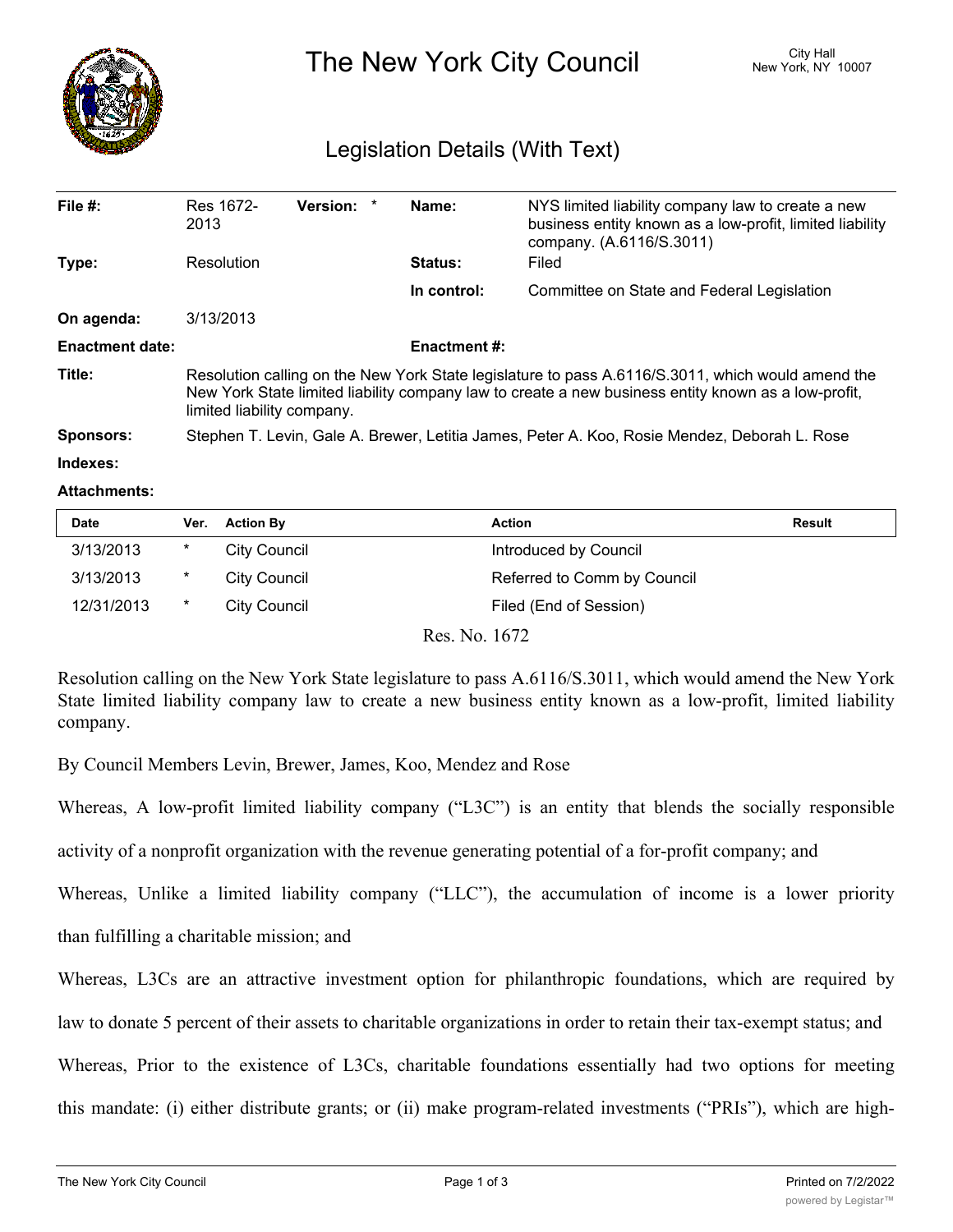

The New York City Council New York, NY 10007

## Legislation Details (With Text)

| File $#$ :             | Res 1672-<br>2013                                                                                                                                                                                                                      | Version: * |  | Name:          | NYS limited liability company law to create a new<br>business entity known as a low-profit, limited liability<br>company. (A.6116/S.3011) |  |  |
|------------------------|----------------------------------------------------------------------------------------------------------------------------------------------------------------------------------------------------------------------------------------|------------|--|----------------|-------------------------------------------------------------------------------------------------------------------------------------------|--|--|
| Type:                  | Resolution                                                                                                                                                                                                                             |            |  | <b>Status:</b> | Filed                                                                                                                                     |  |  |
|                        |                                                                                                                                                                                                                                        |            |  | In control:    | Committee on State and Federal Legislation                                                                                                |  |  |
| On agenda:             | 3/13/2013                                                                                                                                                                                                                              |            |  |                |                                                                                                                                           |  |  |
| <b>Enactment date:</b> | <b>Enactment #:</b>                                                                                                                                                                                                                    |            |  |                |                                                                                                                                           |  |  |
| Title:                 | Resolution calling on the New York State legislature to pass A.6116/S.3011, which would amend the<br>New York State limited liability company law to create a new business entity known as a low-profit,<br>limited liability company. |            |  |                |                                                                                                                                           |  |  |
| <b>Sponsors:</b>       | Stephen T. Levin, Gale A. Brewer, Letitia James, Peter A. Koo, Rosie Mendez, Deborah L. Rose                                                                                                                                           |            |  |                |                                                                                                                                           |  |  |
| Indexes:               |                                                                                                                                                                                                                                        |            |  |                |                                                                                                                                           |  |  |

## **Attachments:**

| <b>Date</b> | Ver. | <b>Action By</b> | <b>Action</b>               | <b>Result</b> |
|-------------|------|------------------|-----------------------------|---------------|
| 3/13/2013   | *    | City Council     | Introduced by Council       |               |
| 3/13/2013   | *    | City Council     | Referred to Comm by Council |               |
| 12/31/2013  | *    | City Council     | Filed (End of Session)      |               |

Res. No. 1672

Resolution calling on the New York State legislature to pass A.6116/S.3011, which would amend the New York State limited liability company law to create a new business entity known as a low-profit, limited liability company.

By Council Members Levin, Brewer, James, Koo, Mendez and Rose

Whereas, A low-profit limited liability company ("L3C") is an entity that blends the socially responsible

activity of a nonprofit organization with the revenue generating potential of a for-profit company; and

Whereas, Unlike a limited liability company ("LLC"), the accumulation of income is a lower priority than fulfilling a charitable mission; and

Whereas, L3Cs are an attractive investment option for philanthropic foundations, which are required by

law to donate 5 percent of their assets to charitable organizations in order to retain their tax-exempt status; and

Whereas, Prior to the existence of L3Cs, charitable foundations essentially had two options for meeting

this mandate: (i) either distribute grants; or (ii) make program-related investments ("PRIs"), which are high-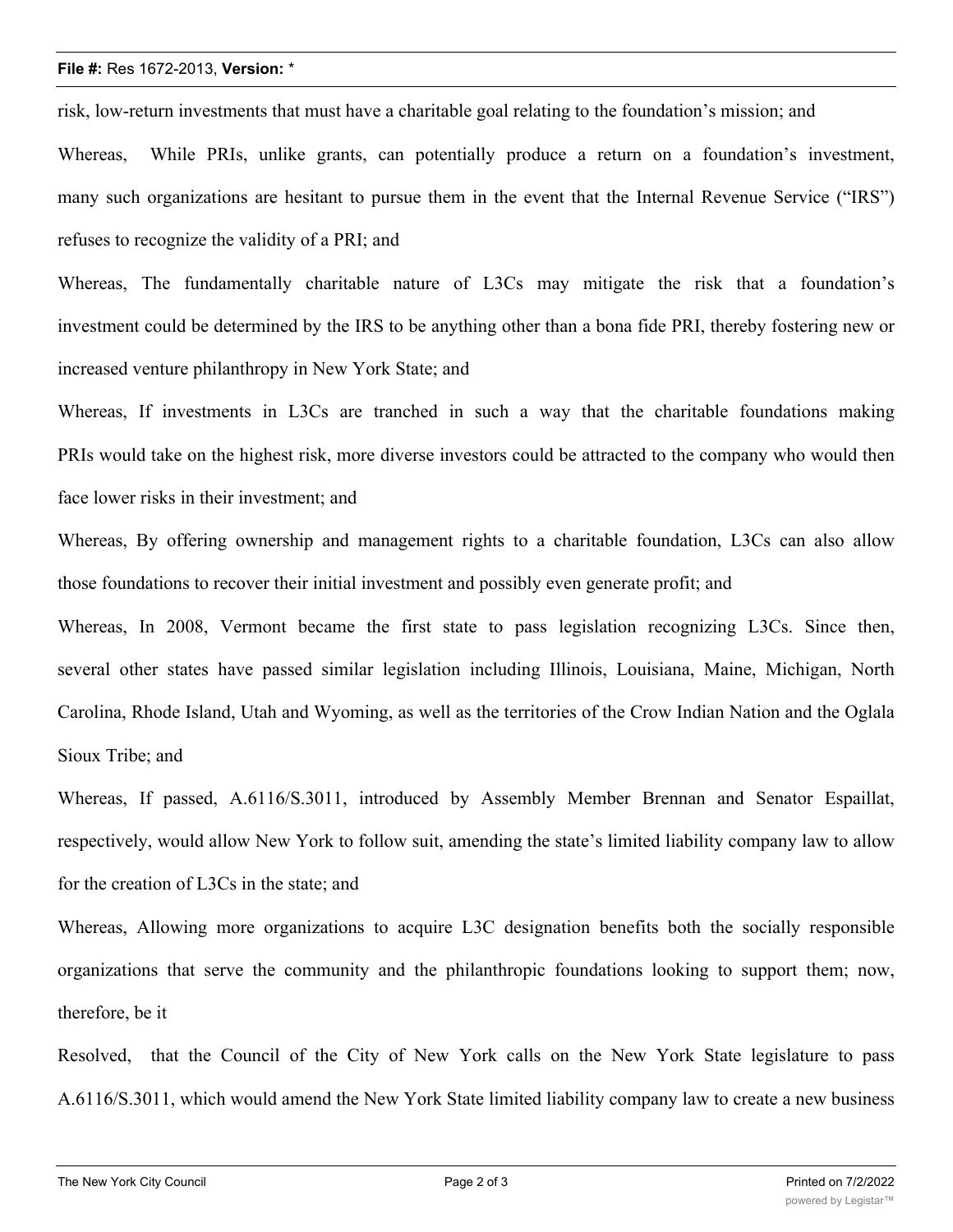## **File #:** Res 1672-2013, **Version:** \*

risk, low-return investments that must have a charitable goal relating to the foundation's mission; and

Whereas, While PRIs, unlike grants, can potentially produce a return on a foundation's investment, many such organizations are hesitant to pursue them in the event that the Internal Revenue Service ("IRS") refuses to recognize the validity of a PRI; and

Whereas, The fundamentally charitable nature of L3Cs may mitigate the risk that a foundation's investment could be determined by the IRS to be anything other than a bona fide PRI, thereby fostering new or increased venture philanthropy in New York State; and

Whereas, If investments in L3Cs are tranched in such a way that the charitable foundations making PRIs would take on the highest risk, more diverse investors could be attracted to the company who would then face lower risks in their investment; and

Whereas, By offering ownership and management rights to a charitable foundation, L3Cs can also allow those foundations to recover their initial investment and possibly even generate profit; and

Whereas, In 2008, Vermont became the first state to pass legislation recognizing L3Cs. Since then, several other states have passed similar legislation including Illinois, Louisiana, Maine, Michigan, North Carolina, Rhode Island, Utah and Wyoming, as well as the territories of the Crow Indian Nation and the Oglala Sioux Tribe; and

Whereas, If passed, A.6116/S.3011, introduced by Assembly Member Brennan and Senator Espaillat, respectively, would allow New York to follow suit, amending the state's limited liability company law to allow for the creation of L3Cs in the state; and

Whereas, Allowing more organizations to acquire L3C designation benefits both the socially responsible organizations that serve the community and the philanthropic foundations looking to support them; now, therefore, be it

Resolved, that the Council of the City of New York calls on the New York State legislature to pass A.6116/S.3011, which would amend the New York State limited liability company law to create a new business